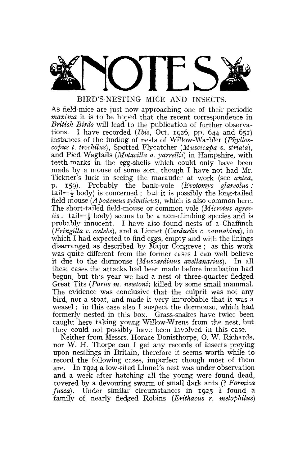

BIRD'S-NESTING MICE AND INSECTS.

As field-mice are just now approaching one of their periodic *maxima* it is to be hoped that the recent correspondence in *British Birds* will lead to the publication of further observations. I have recorded *(Ibis,* Oct. 1926, pp. 644 and 651) instances of the finding of nests of Willow-Warbler *(Phylloscopus t. trochilus),* Spotted Flycatcher *(Muscicapa s. striata),*  and Pied Wagtails *(Motacitta a. yarrellii)* in Hampshire, with teeth-marks in the egg-shells which could only have been made by a mouse of some sort, though I have not had Mr. Tickner's luck in seeing the marauder at work (see *antea,*  p. 159). Probably the bank-vole *(Evotomys glareolus :*  tail= $\frac{1}{2}$  body) is concerned ; but it is possibly the long-tailed field-mouse *(Apodemus sylvaticus),* which is also common here. The short-tailed field-mouse or common vole *(Microtus agrestis*: tail= $\frac{1}{2}$  body) seems to be a non-climbing species and is probably innocent. I have also found nests of a Chaffinch *(Fringilla c, ccelebs),* and a Linnet *(Carduelis c. cannabina),* in which I had expected to find eggs, empty and with the linings disarranged as described by Major Congreve ; as this work was quite different from the former cases I can well believe it due to the dormouse *(Muscardinus avellanarius).* In all these cases the attacks had been made before incubation had begun, but this year we had a nest of three-quarter fledged Great Tits *(Parus m. newtoni)* killed by some small mammal. The evidence was conclusive that the culprit was not any bird, nor a stoat, and made it very improbable that it was a weasel; in this case also I suspect the dormouse, which had formerly nested in this box. Grass-snakes have twice been caught here taking young Willow-Wrens from the nest, but they could not possibly have been involved in this case.

Neither from Messrs. Horace Donisthorpe, 0. W. Richards, nor W. H. Thorpe can I get any records of insects preying upon nestlings in Britain, therefore it seems worth while to record the following cases, imperfect though most of them are. In 1924 a low-sited Linnet's nest was under observation and a week after hatching all the young were found dead, covered by a devouring swarm of small dark ants (? *Formica fusca).* Under similar circumstances in 1925 I found a family of nearly fledged Robins *(Erithacus r. melopkilus)*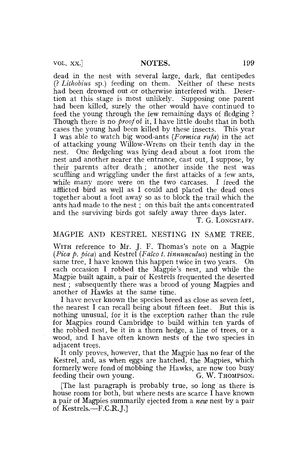VOL. XX.] NOTES. 199

dead in the nest with several large, dark, flat centipedes (? *Lithobius* sp.) feeding on them. Neither of these nests had been drowned out or otherwise interfered with. Desertion at this stage is most unlikely. Supposing one parent had been killed, surely the other would have continued to feed the young through the few remaining days of fledging ? Though there is no *proof* of it, I have little doubt that in both cases the young had been killed by these insects. This year I was able to watch big wood-ants *(Formica rufa)* in the act of attacking young Willow-Wrens on their tenth day in the nest. One fledgeling was lying dead about a foot irom the nest and another nearer the entrance, cast out, I suppose, by their parents after death; another inside the nest was scuffling and wriggling under the first attacks of a few ants, while many more were on the two carcases. I freed the afflicted bird as well as I could and placed the dead ones together about a foot away so as to block the trail which the ants had made to the nest ; on this bait the ants concentrated and the surviving birds got safely away three days later.

T. G. LONGSTAFF.

# MAGPIE AND KESTREL NESTING IN SAME TREE.

WITH reference to Mr. J. F. Thomas's note on a Magpie *(Pica p. pica)* and Kestrel *(Falco t. tinnunculus)* nesting in the same tree, I have known this happen twice in two years. On each occasion I robbed the Magpie's nest, and while the Magpie built again, a pair of Kestrels frequented the deserted nest; subsequently there was a brood of young Magpies and another of Hawks at the same time.

I have never known the species breed as close as seven feet, the nearest I can recall being about fifteen feet. But this is nothing unusual, for it is the exception rather than the rule for Magpies round Cambridge to build within ten yards of the robbed nest, be it in a thorn hedge, a line of trees, or a wood, and I have often known nests of the two species in adjacent trees.

It only proves, however, that the Magpie has no fear of the Kestrel, and, as when eggs are hatched, the Magpies, which formerly were fond of mobbing the Hawks, are now too busy<br>feeding their own young. G. W. Thompson. feeding their own young.

[The last paragraph is probably true, so long as there is house room tor both, but where nests are scarce I have known a pair of Magpies summarily ejected from a *new* nest by a pair of Kestrels.—F.C.R. J.]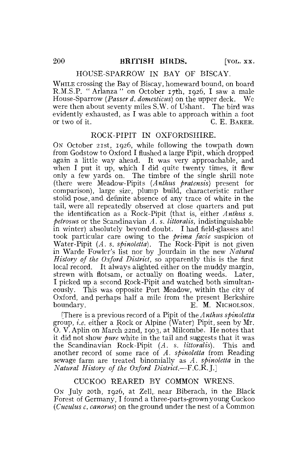#### HOUSE-SPARROW IN BAY OF BISCAY.

WHILE crossing the Bay of Biscay, homeward bound, on board R.M.S.P. "Arlanza" on October 17th, 1926, I saw a male House-Sparrow *(Passer d. domesticus)* on the upper deck. We were then about seventy miles S.W. of Ushant. The bird was evidently exhausted, as I was able to approach within a foot<br>or two of it.  $C \to R$ C. E. BAKER.

# ROCK-PIPIT IN OXFORDSHIRE.

ON October 21st, 1926, while following the towpath down from Godstow to Oxford I flushed a large Pipit, which dropped again a little way ahead. It was very approachable, and when I put it up, which I did quite twenty times, it flew only a few yards on. The timbre of the single shrill note (there were Meadow-Pipits *(Anthus pratensis)* present for comparison), large size, plump build, characteristic rather stolid pose, and definite absence of any trace of white in the tail, were all repeatedly observed at close quarters and put the identification as a Rock-Pipit (that is, either *Anthus s. pelrosus* or the Scandinavian *A. s. littoralis,* indistinguishable in winter) absolutely beyond doubt. I had field-glasses and took particular care owing to the *prima facie* suspicion of Water-Pipit *(A. s. spinoletta).* The Rock-Pipit is not given in Warde Fowler's list nor by Jourdain in the new *Natural History of the Oxford District,* so apparently this is the first local record. It always alighted either on the muddy margin, strewn with flotsam, or actually on floating weeds. Later, I picked up a second Rock-Pipit and watched both simultaneously. This was opposite Port Meadow, within the city of Oxford, and perhaps half a mile from the present Berkshire boundary. E. M. NICHOLSON.

[There is a previous record of a Pipit of the *Anthus spinoletta*  group, *i.e.* either a Rock or Alpine (Water) Pipit, seen by Mr. O. V. Aplin on March 22nd, 1903, at Milcombe. He notes that it did not show *pure* white in the tail and suggests that it was the Scandinavian Rock-Pipit *(A. s. littoralis).* This and another record of some race of *A. spinoletta* from Reading sewage farm are treated binomially as *A. spinoletta* in the *Natural History of the Oxford District.*—F.C.R.J.]

## CUCKOO REARED BY COMMON WRENS.

ON July 20th, 1926, at Zell, near Biberach, in the Black Forest of Germany, I found a three-parts-grown young Cuckoo *(Cuculus c. canorus)* on the ground under the nest of a Common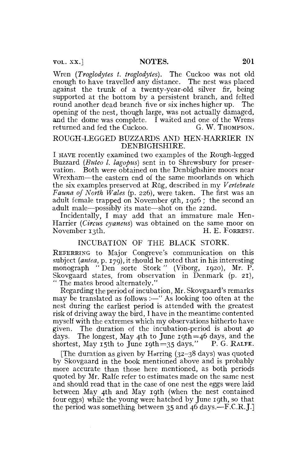Wren *{Troglodytes t. troglodytes).* The Cuckoo was not old enough to have travelled any distance. The nest was placed against the trunk of a twenty-year-old silver fir, being supported at the bottom by a persistent branch, and felted round another dead branch five or six inches higher up. The opening of the nest, though large, was not actually damaged, and the dome was complete. I waited and one of the Wrens returned and fed the Cuckoo. G. W. THOMPSON.

## ROUGH-LEGGED BUZZARDS AND HEN-HARRIER IN DENBIGHSHIRE.

I HAVE recently examined two examples of the Rough-legged Buzzard *(Buteo I. lagopus)* sent in to Shrewsbury for preservation. Both were obtained on the Denbighshire moors near Wrexham—the eastern end of the same moorlands on which the six examples preserved at Rug, described in my *Vertebrate Fauna of North Wales* (p. 226), were taken. The first was an adult female trapped on November 9th, 1926 ; the second an adult male—possibly its mate—shot on the 22nd.

Incidentally, I may add that an immature male Hen-Harrier *(Circus cyaneus)* was obtained on the same moor on November 13th.

# INCUBATION OF THE BLACK STORK.

REFERRING to Major Congreve's communication on this subject *(antea,* p. 179), it should be noted that in his interesting monograph "Den sorte Stork" (Viborg, 1920), Mr. P. Skovgaard states, from observation in Denmark (p. 21), " The mates brood alternately."

Regarding the period of incubation, Mr. Skovgaard's remarks may be translated as follows :—" As looking too often at the nest during the earliest period is attended with the greatest risk of driving away the bird, I have in the meantime contented myself with the extremes which my observations hitherto have given. The duration of the incubation-period is about 40 days. The longest, May 4th to June 19th =46 days, and the shortest, May 15th to June 19th = 35 days." P. G. RALFE.

[The duration as given by Herring (32-38 days) was quoted by Skovgaard in the book mentioned above and is probably more accurate than those here mentioned, as both periods quoted by Mr. Ralfe refer to estimates made on the same nest and should read that in the ease of one nest the eggs were laid between May 4th and May 19th (when the nest contained four eggs) while the young were hatched by June 19th, so that the period was something between 35 and 46 days.—F.C.R, J.]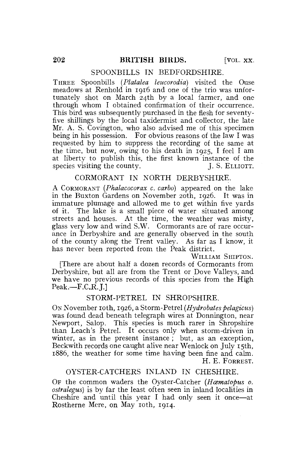#### SPOONBILLS IN BEDFORDSHIRE.

THREE Spoonbills *(Platalea leucorodia)* visited the Ouse meadows at Renhold in 1916 and one of the trio was unfortunately shot on March 24th by a local farmer, and one through whom I obtained confirmation of their occurrence. This bird was subsequently purchased in the flesh for seventyfive shillings by the local taxidermist and collector, the late Mr. A. S. Covington, who also advised me of this specimen being in his possession. For obvious reasons of the law I was requested by him to suppress the recording of the same at the time, but now, owing to his death in 1925, I feel I am at liberty to publish this, the first known instance of the species visiting the county. J. S. ELLIOTT.

# CORMORANT IN NORTH DERBYSHIRE.

A CORMORANT *(Phalacocorax c. carbo)* appeared on the lake in the Buxton Gardens on November 20th, 1926. It was in immature plumage and allowed me to get within five yards of it. The lake is a small piece of water situated among streets and houses. At the time, the weather was misty, glass very low and wind S.W. Cormorants are of rare occurance in Derbyshire and are generally observed in the south of the county along the Trent valley. As far as I know, it has never been reported from the Peak district.

WILLIAM SHIPTON.

[There are about half a dozen records of Cormorants from Derbyshire, but all are from the Trent or Dove Valleys, and we have no previous records of this species from the High  $Peak.—F.C.R. I.1$ 

#### STORM-PETREL IN SHROPSHIRE.

On November 10th, 1926, a Storm-Petrel *(Hydrobates pelagicus)* was found dead beneath telegraph wires at Donnington, near Newport, Salop. This species is much rarer in Shropshire than Leach's Petrel. It occurs only when storm-driven in winter, as in the present instance; but, as an exception, Beckwith records one caught alive near Wenlock on July 15th, 1886, the weather for some time having been fine and calm. H. E. FORREST.

#### OYSTER-CATCHERS INLAND IN CHESHIRE.

OF the common waders the Oyster-Catcher *(Haematopus 0. ostralegus)* is by far the least often seen in inland localities in Cheshire and until this year I had only seen it once—at Rostherne Mere, on May 10th, 1914.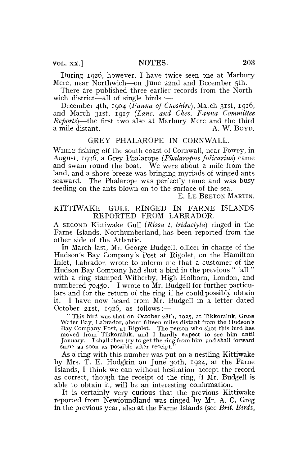During 1926, however, I have twice seen one at Marbury Mere, near Northwich—on June 22nd and December 5th.

There are published three earlier records from the Northwich district—all of single birds :—

December 4th, 1904 *(Fauna of Cheshire),* March 31st, 1916, and March 31st, 1917 *(Lane, and Ches. Fauna Committee Reports)*—the first two also at Marbury Mere and the third a mile distant.

### GREY PHALAROPE IN CORNWALL.

WHILE fishing off the south coast of Cornwall, near Fowey, in August, 1926, a Grey Phalarope *(Phalaropus fulicarius)* came and swam round the boat. We were about a mile from the land, and a shore breeze was bringing myriads of winged ants seaward.. The Phalarope was perfectly tame and was busy feeding on the ants blown on to the surface of the sea.

E. LE BRETON MARTIN.

## KITTIWAKE GULL RINGED IN FARNE ISLANDS REPORTED FROM LABRADOR.

A SECOND Kittiwake Gull *(Rissa t. tridactyla)* ringed in the Fame Islands, Northumberland, has been reported from the other side of the Atlantic.

In March last, Mr. George Budgell, officer in charge of the Hudson's Bay Company's Post at Rigolet, on the Hamilton Inlet, Labrador, wrote to inform me that a customer of the Hudson Bay Company had shot a bird in the previous " fall " with a ring stamped Witherby, High Holborn, London, and numbered 70450. I wrote to Mr. Budgell for further particulars and for the return of the ring if he could possibly obtain it. I have now heard from Mr. Budgell in a letter dated October 21st, 1926, as follows :-

" This bird was shot on October 28th, 1925, at Tikkoraluk, Gross Water Bay. Labrador, about fifteen miles distant from the Hudson's Bay Company Post, at Rigolet. The person who shot this bird has moved from Tikkoraluk, and I hardly expect to see him until January. I shall then try to get the ring from him, and shall forward same as soon as possible after receipt.

As a ring with this number was put on a nestling Kittiwake by Mrs. T. E. Hodgkin on June 30th, 1924, at the Fame Islands, I think we can without hesitation accept the record as correct, though the receipt of the ring, if Mr. Budgell is able to obtain it, will be an interesting confirmation.

It is certainly very curious that the previous Kittiwake reported from Newfoundland was ringed by Mr. A. C. Greg in the previous year, also at the Fame Islands (see *Brit. Birds,*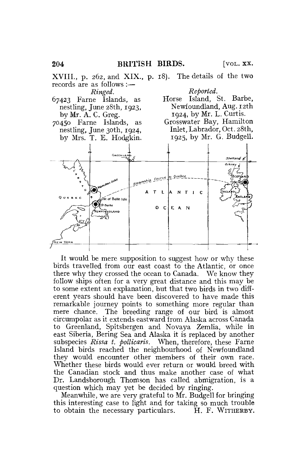

It would be mere supposition to suggest how or why these birds travelled from our east coast to the Atlantic, or once there why they crossed the ocean to Canada. We know they follow ships often for a very great distance and this may be to some extent an explanation, but that two birds in two different years should have been discovered to have made this remarkable journey points to something more regular than mere chance. The breeding range of our bird is almost circumpolar as it extends eastward from Alaska across Canada to Greenland, Spitsbergen and Novaya Zemlia, while in east Siberia, Bering Sea and Alaska it is replaced by another subspecies *Rissa t. pollicaris.* When, therefore, these Fame Island birds reached the neighbourhood of Newfoundland they would encounter other members of their own race. Whether these birds would ever return or would breed with the Canadian stock and thus make another case of what Dr. Landsborough Thomson has called abmigration, is a question which may yet be decided by ringing.

Meanwhile, we are very grateful to Mr. Budgell for bringing this interesting case to light and for taking so much trouble to obtain the necessary particulars. H. F. WITHERBY.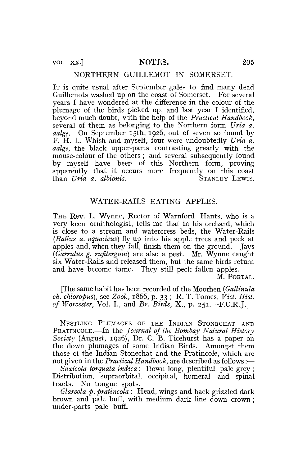### NORTHERN GUILLEMOT IN SOMERSET.

IT is quite usual after September gales to find many dead Guillemots washed up on the coast of Somerset. For several years I have wondered at the difference in the colour of the plumage of the birds picked up, and last year I identified, beyond much doubt, with the help of the *Practical Handbook,*  several of them as belonging to the Northern form Uria a. *aalge.* On September 15th, 1926, out of seven so found by F. H. L. Whish and myself, four were undoubtedly *Uria a. aalge,* the black upper-parts contrasting greatly with the mouse-colour of the others ; and several subsequently found by myself have been of this Northern form, proving apparently that it occurs more frequently on this coast than *Uria a. albionis.* STANLEY LEWIS.

# WATER-RAILS EATING APPLES.

THE Rev. L. Wynne, Rector of Warnford, Hants, who is a very keen ornithologist, tells me that in his orchard, which is close to a stream and watercress beds, the Water-Rails *(Rallus a. aquaticus)* fly up into his apple trees and peck at apples and, when they fall, finish them on the ground. Jays *(Garrulus g. rufitergum)* are also a pest. Mr. Wynne caught six Water-Rails and released them, but the same birds return and have become tame. They still peck fallen apples.

M. PORTAL.

[The same habit has been recorded of the Moorhen *(Gallinula ch. chloropus),* see *Zool.,* 1866, p. 33 ; R, T. Tomes, *Vict. Hist, of Worcester,* Vol. I., and *Br. Birds,* X., p. 251.—F.C.R.J.]

NESTLING PLUMAGES OF THE INDIAN STONECHAT AND PRATINCOLE.—In the *Journal of the Bombay Natural History Society* (August, 1926), Dr. C. B. Ticehurst has a paper on the down plumages of some Indian Birds. Amongst them those of the Indian Stonechat and the Pratincole, which are not given in the *Practical Handbook,* are described as follows:—

*Saxicola torquata indica* : Down long, plentiful, pale grey ; Distribution, supraorbital, occipital, humeral and spinal tracts. No tongue spots.

*Glareola p. pratincola* : Head, wings and back grizzled dark brown and pale buff, with medium dark line down crown ; under-parts pale buff.